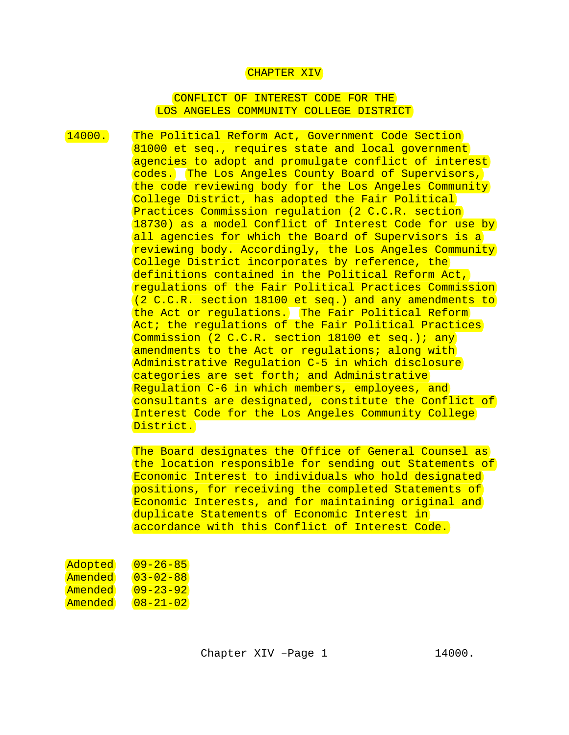## CHAPTER XIV

## CONFLICT OF INTEREST CODE FOR THE LOS ANGELES COMMUNITY COLLEGE DISTRICT

14000. The Political Reform Act, Government Code Section 81000 et seq., requires state and local government agencies to adopt and promulgate conflict of interest codes. The Los Angeles County Board of Supervisors, the code reviewing body for the Los Angeles Community College District, has adopted the Fair Political Practices Commission regulation (2 C.C.R. section 18730) as a model Conflict of Interest Code for use by all agencies for which the Board of Supervisors is a reviewing body. Accordingly, the Los Angeles Community College District incorporates by reference, the definitions contained in the Political Reform Act, regulations of the Fair Political Practices Commission (2 C.C.R. section 18100 et seq.) and any amendments to the Act or regulations. The Fair Political Reform Act; the requlations of the Fair Political Practices Commission (2 C.C.R. section 18100 et seq.); any amendments to the Act or regulations; along with Administrative Regulation C-5 in which disclosure categories are set forth; and Administrative Regulation C-6 in which members, employees, and consultants are designated, constitute the Conflict of Interest Code for the Los Angeles Community College District.

> The Board designates the Office of General Counsel as the location responsible for sending out Statements of Economic Interest to individuals who hold designated positions, for receiving the completed Statements of Economic Interests, and for maintaining original and duplicate Statements of Economic Interest in accordance with this Conflict of Interest Code.

| Adopted | $09 - 26 - 85$ |
|---------|----------------|
| Amended | $03 - 02 - 88$ |
| Amended | $09 - 23 - 92$ |
| Amended | $08 - 21 - 02$ |